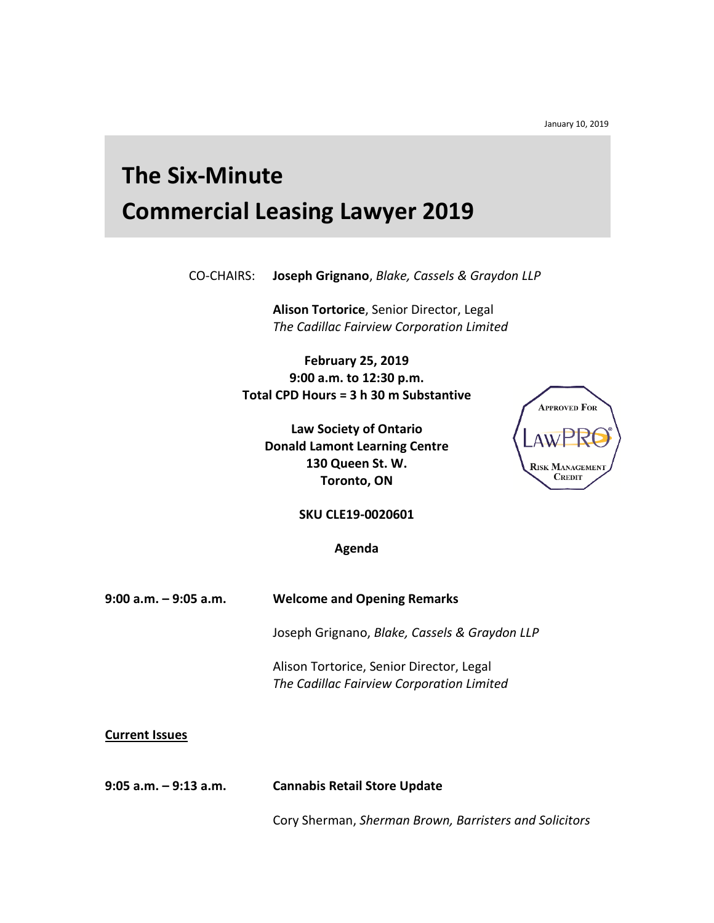January 10, 2019

## **The Six-Minute Commercial Leasing Lawyer 2019**

CO-CHAIRS: **Joseph Grignano**, *Blake, Cassels & Graydon LLP*

**Alison Tortorice**, Senior Director, Legal *The Cadillac Fairview Corporation Limited* 

**February 25, 2019 9:00 a.m. to 12:30 p.m. Total CPD Hours = 3 h 30 m Substantive**

**Law Society of Ontario Donald Lamont Learning Centre 130 Queen St. W. Toronto, ON**



**SKU CLE19-0020601**

**Agenda**

**9:00 a.m. – 9:05 a.m. Welcome and Opening Remarks**

Joseph Grignano, *Blake, Cassels & Graydon LLP* 

Alison Tortorice, Senior Director, Legal *The Cadillac Fairview Corporation Limited* 

**Current Issues** 

**9:05 a.m. – 9:13 a.m. Cannabis Retail Store Update** 

Cory Sherman, *Sherman Brown, Barristers and Solicitors*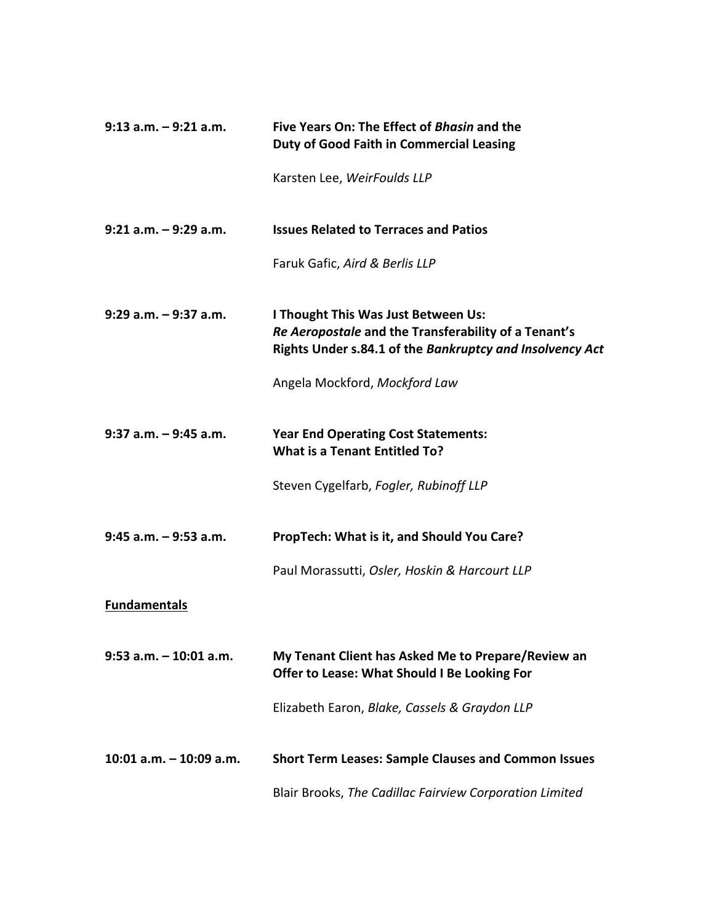| $9:13$ a.m. $-9:21$ a.m.   | Five Years On: The Effect of Bhasin and the<br><b>Duty of Good Faith in Commercial Leasing</b>                                                          |
|----------------------------|---------------------------------------------------------------------------------------------------------------------------------------------------------|
|                            | Karsten Lee, WeirFoulds LLP                                                                                                                             |
| $9:21$ a.m. $-9:29$ a.m.   | <b>Issues Related to Terraces and Patios</b>                                                                                                            |
|                            | Faruk Gafic, Aird & Berlis LLP                                                                                                                          |
| $9:29$ a.m. $-9:37$ a.m.   | I Thought This Was Just Between Us:<br>Re Aeropostale and the Transferability of a Tenant's<br>Rights Under s.84.1 of the Bankruptcy and Insolvency Act |
|                            | Angela Mockford, Mockford Law                                                                                                                           |
| $9:37$ a.m. $-9:45$ a.m.   | <b>Year End Operating Cost Statements:</b><br>What is a Tenant Entitled To?                                                                             |
|                            | Steven Cygelfarb, Fogler, Rubinoff LLP                                                                                                                  |
| $9:45$ a.m. $-9:53$ a.m.   | PropTech: What is it, and Should You Care?                                                                                                              |
|                            | Paul Morassutti, Osler, Hoskin & Harcourt LLP                                                                                                           |
| <b>Fundamentals</b>        |                                                                                                                                                         |
| $9:53$ a.m. $-10:01$ a.m.  | My Tenant Client has Asked Me to Prepare/Review an<br>Offer to Lease: What Should I Be Looking For                                                      |
|                            | Elizabeth Earon, Blake, Cassels & Graydon LLP                                                                                                           |
| $10:01$ a.m. $-10:09$ a.m. | <b>Short Term Leases: Sample Clauses and Common Issues</b>                                                                                              |
|                            | Blair Brooks, The Cadillac Fairview Corporation Limited                                                                                                 |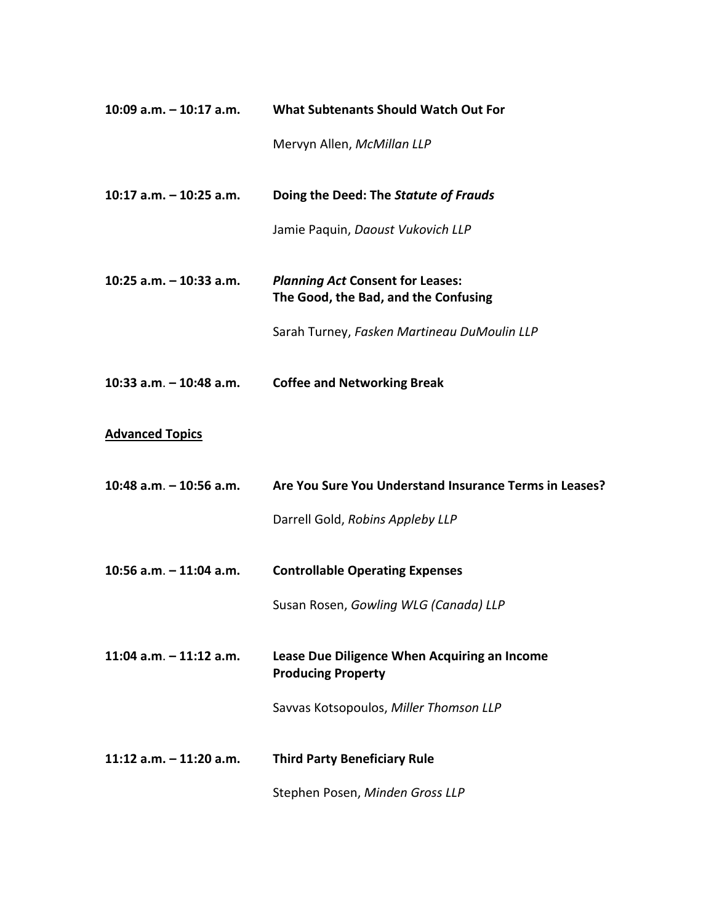| 10:09 a.m. $-$ 10:17 a.m. | What Subtenants Should Watch Out For                                            |
|---------------------------|---------------------------------------------------------------------------------|
|                           | Mervyn Allen, McMillan LLP                                                      |
| 10:17 a.m. $-$ 10:25 a.m. | Doing the Deed: The Statute of Frauds                                           |
|                           | Jamie Paquin, Daoust Vukovich LLP                                               |
| 10:25 $a.m. - 10:33 a.m.$ | <b>Planning Act Consent for Leases:</b><br>The Good, the Bad, and the Confusing |
|                           | Sarah Turney, Fasken Martineau DuMoulin LLP                                     |
| 10:33 $a.m. - 10:48 a.m.$ | <b>Coffee and Networking Break</b>                                              |
| <b>Advanced Topics</b>    |                                                                                 |
|                           |                                                                                 |
| 10:48 a.m. - 10:56 a.m.   | Are You Sure You Understand Insurance Terms in Leases?                          |
|                           | Darrell Gold, Robins Appleby LLP                                                |
| 10:56 a.m. $-11:04$ a.m.  | <b>Controllable Operating Expenses</b>                                          |
|                           | Susan Rosen, Gowling WLG (Canada) LLP                                           |
| 11:04 $a.m. - 11:12 a.m.$ | Lease Due Diligence When Acquiring an Income<br><b>Producing Property</b>       |
|                           | Savvas Kotsopoulos, Miller Thomson LLP                                          |
| 11:12 $a.m. - 11:20 a.m.$ | <b>Third Party Beneficiary Rule</b>                                             |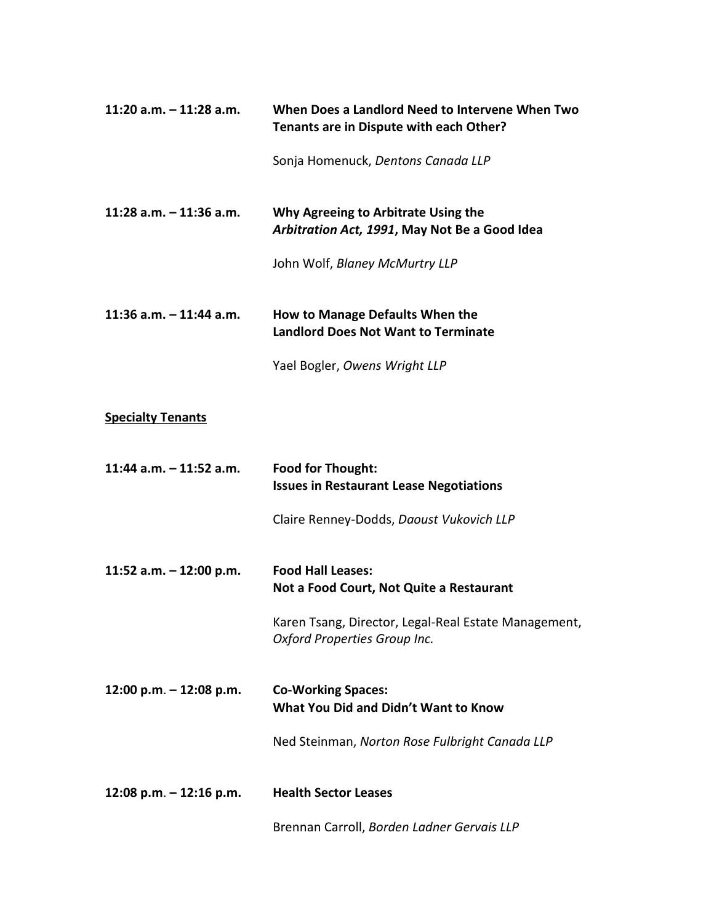| 11:20 a.m. $-$ 11:28 a.m.   | When Does a Landlord Need to Intervene When Two<br>Tenants are in Dispute with each Other? |
|-----------------------------|--------------------------------------------------------------------------------------------|
|                             | Sonja Homenuck, Dentons Canada LLP                                                         |
| 11:28 $a.m. - 11:36 a.m.$   | Why Agreeing to Arbitrate Using the<br>Arbitration Act, 1991, May Not Be a Good Idea       |
|                             | John Wolf, Blaney McMurtry LLP                                                             |
| 11:36 $a.m. - 11:44$ $a.m.$ | How to Manage Defaults When the<br><b>Landlord Does Not Want to Terminate</b>              |
|                             | Yael Bogler, Owens Wright LLP                                                              |
| <b>Specialty Tenants</b>    |                                                                                            |
| 11:44 $a.m. - 11:52 a.m.$   | <b>Food for Thought:</b><br><b>Issues in Restaurant Lease Negotiations</b>                 |
|                             | Claire Renney-Dodds, Daoust Vukovich LLP                                                   |
| 11:52 a.m. $-$ 12:00 p.m.   | <b>Food Hall Leases:</b><br>Not a Food Court, Not Quite a Restaurant                       |
|                             | Karen Tsang, Director, Legal-Real Estate Management,<br>Oxford Properties Group Inc.       |
| 12:00 p.m. - 12:08 p.m.     | <b>Co-Working Spaces:</b><br>What You Did and Didn't Want to Know                          |
|                             | Ned Steinman, Norton Rose Fulbright Canada LLP                                             |
| 12:08 p.m. $-$ 12:16 p.m.   | <b>Health Sector Leases</b>                                                                |
|                             | Brennan Carroll, Borden Ladner Gervais LLP                                                 |